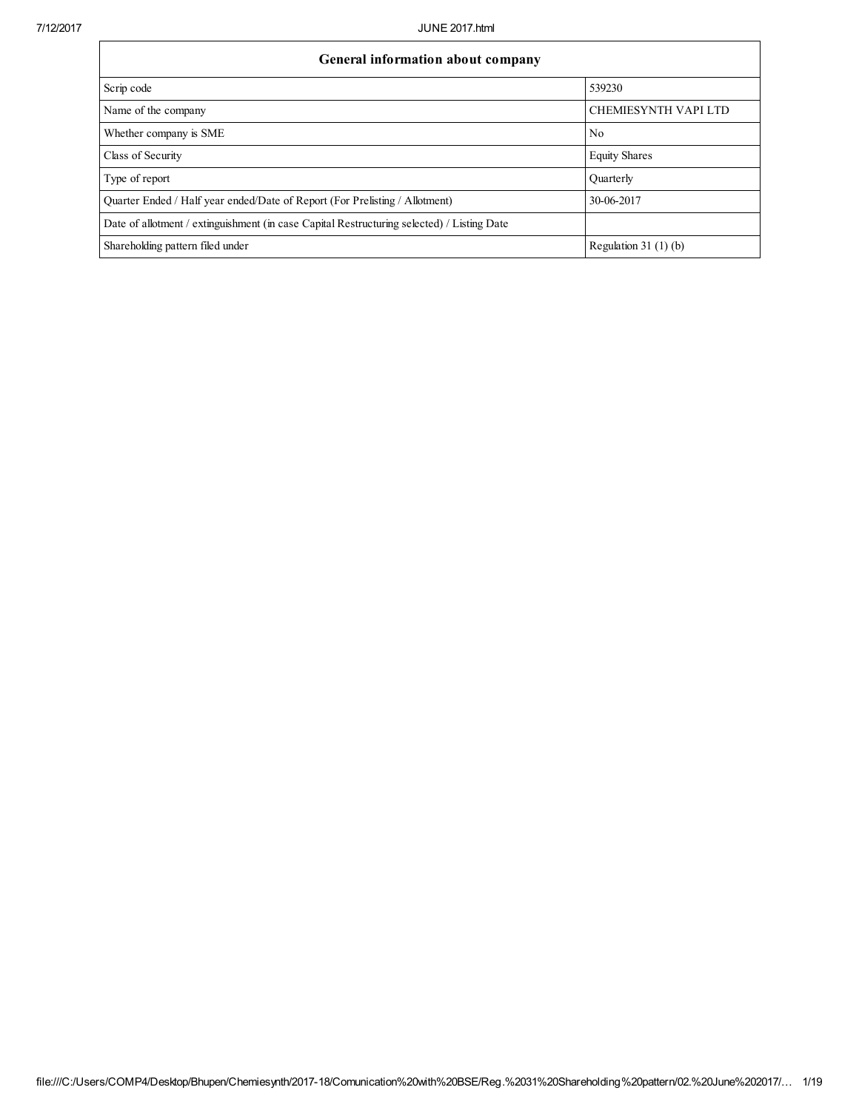| General information about company                                                          |                             |  |  |  |  |  |  |
|--------------------------------------------------------------------------------------------|-----------------------------|--|--|--|--|--|--|
| Scrip code                                                                                 | 539230                      |  |  |  |  |  |  |
| Name of the company                                                                        | <b>CHEMIESYNTH VAPI LTD</b> |  |  |  |  |  |  |
| Whether company is SME                                                                     | N <sub>0</sub>              |  |  |  |  |  |  |
| Class of Security                                                                          | <b>Equity Shares</b>        |  |  |  |  |  |  |
| Type of report                                                                             | Ouarterly                   |  |  |  |  |  |  |
| Quarter Ended / Half year ended/Date of Report (For Prelisting / Allotment)                | 30-06-2017                  |  |  |  |  |  |  |
| Date of allotment / extinguishment (in case Capital Restructuring selected) / Listing Date |                             |  |  |  |  |  |  |
| Shareholding pattern filed under                                                           | Regulation 31 $(1)(b)$      |  |  |  |  |  |  |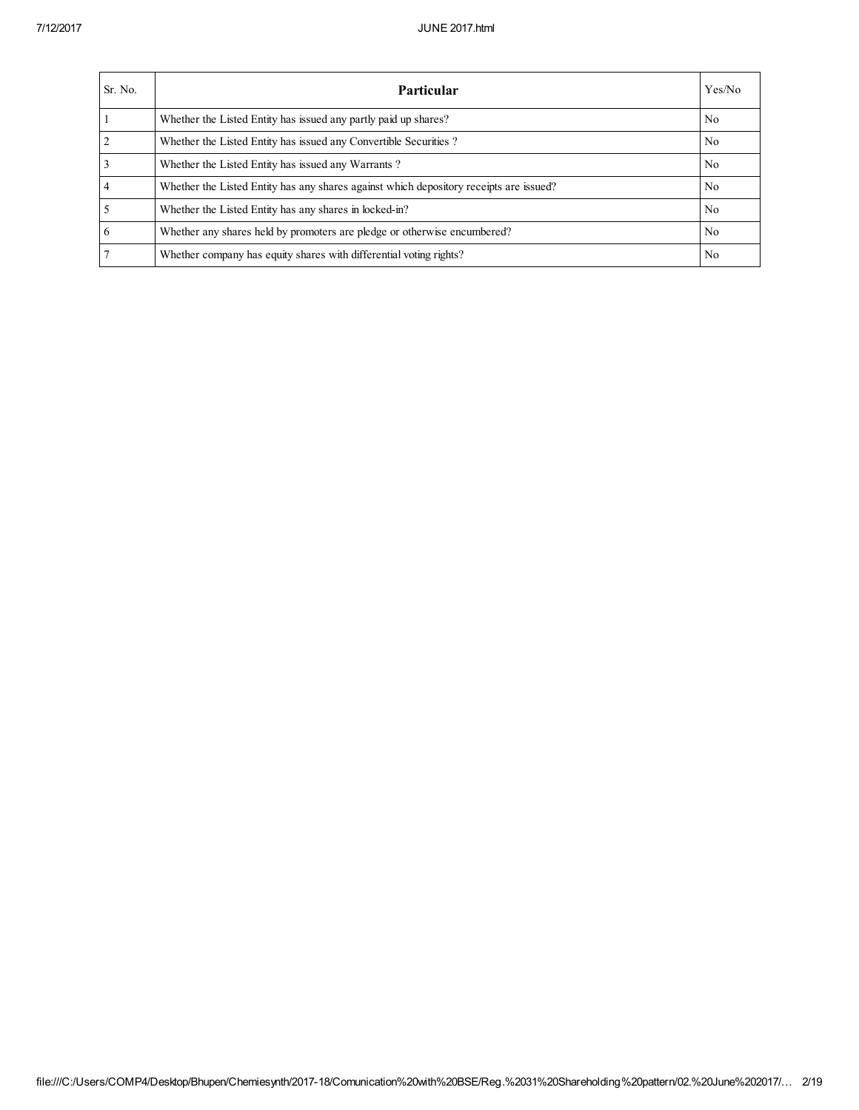| Sr. No.        | <b>Particular</b>                                                                      | Yes/No         |
|----------------|----------------------------------------------------------------------------------------|----------------|
|                | Whether the Listed Entity has issued any partly paid up shares?                        | N <sub>o</sub> |
| $\overline{2}$ | Whether the Listed Entity has issued any Convertible Securities?                       | N <sub>o</sub> |
| 3              | Whether the Listed Entity has issued any Warrants?                                     | N <sub>o</sub> |
| 4              | Whether the Listed Entity has any shares against which depository receipts are issued? | N <sub>o</sub> |
|                | Whether the Listed Entity has any shares in locked-in?                                 | N <sub>0</sub> |
| 6              | Whether any shares held by promoters are pledge or otherwise encumbered?               | N <sub>o</sub> |
|                | Whether company has equity shares with differential voting rights?                     | N <sub>0</sub> |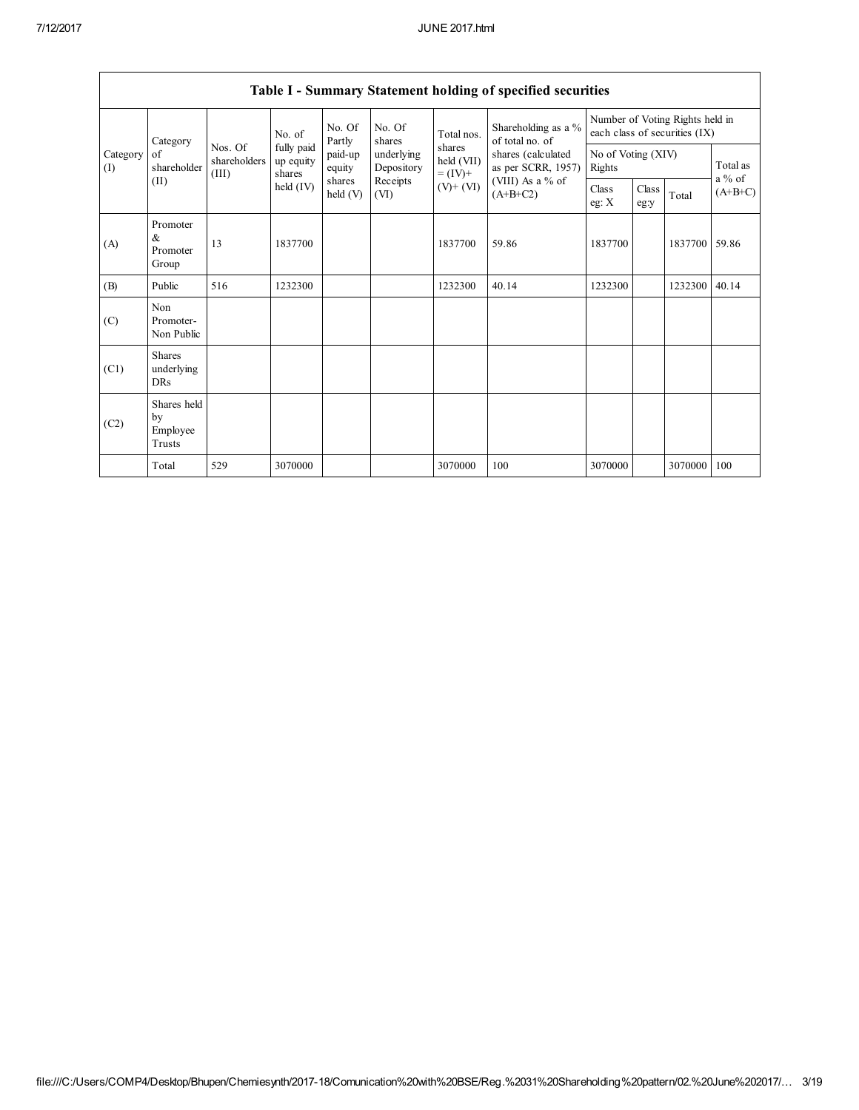Г

|                                                          | Table 1 - Summary Statement holding of specified securities |                                  |                                                  |                    |                                              |                                                      |                                                                            |                              |                                                                  |         |                       |
|----------------------------------------------------------|-------------------------------------------------------------|----------------------------------|--------------------------------------------------|--------------------|----------------------------------------------|------------------------------------------------------|----------------------------------------------------------------------------|------------------------------|------------------------------------------------------------------|---------|-----------------------|
| Category<br>Category<br>of<br>shareholder<br>(I)<br>(II) |                                                             | No. of                           | No. Of<br>Partly                                 | No. Of<br>shares   | Total nos.                                   | Shareholding as a %<br>of total no. of               |                                                                            |                              | Number of Voting Rights held in<br>each class of securities (IX) |         |                       |
|                                                          |                                                             | Nos. Of<br>shareholders<br>(III) | fully paid<br>up equity<br>shares<br>held $(IV)$ | paid-up<br>equity  | underlying<br>Depository<br>Receipts<br>(VI) | shares<br>held (VII)<br>$= (IV) +$<br>$(V)$ + $(VI)$ | shares (calculated<br>as per SCRR, 1957)<br>(VIII) As a % of<br>$(A+B+C2)$ | No of Voting (XIV)<br>Rights |                                                                  |         | Total as              |
|                                                          |                                                             |                                  |                                                  | shares<br>held (V) |                                              |                                                      |                                                                            | Class<br>eg: X               | Class<br>eg:y                                                    | Total   | $a\%$ of<br>$(A+B+C)$ |
| (A)                                                      | Promoter<br>$\&$<br>Promoter<br>Group                       | 13                               | 1837700                                          |                    |                                              | 1837700                                              | 59.86                                                                      | 1837700                      |                                                                  | 1837700 | 59.86                 |
| (B)                                                      | Public                                                      | 516                              | 1232300                                          |                    |                                              | 1232300                                              | 40.14                                                                      | 1232300                      |                                                                  | 1232300 | 40.14                 |
| (C)                                                      | Non<br>Promoter-<br>Non Public                              |                                  |                                                  |                    |                                              |                                                      |                                                                            |                              |                                                                  |         |                       |
| (C1)                                                     | <b>Shares</b><br>underlying<br><b>DRs</b>                   |                                  |                                                  |                    |                                              |                                                      |                                                                            |                              |                                                                  |         |                       |
| (C2)                                                     | Shares held<br>by<br>Employee<br>Trusts                     |                                  |                                                  |                    |                                              |                                                      |                                                                            |                              |                                                                  |         |                       |
|                                                          | Total                                                       | 529                              | 3070000                                          |                    |                                              | 3070000                                              | 100                                                                        | 3070000                      |                                                                  | 3070000 | 100                   |

Table I - Summary Statement holding of specified securities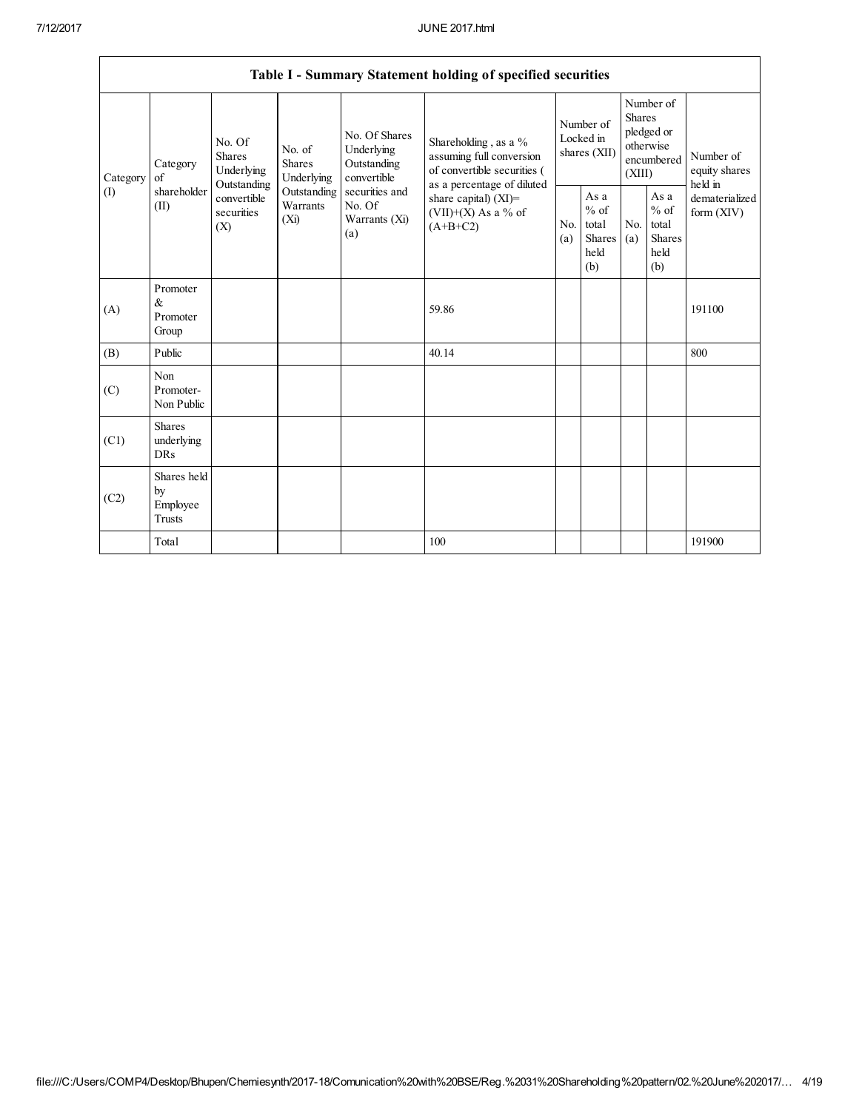|                               | Table I - Summary Statement holding of specified securities                                                         |                                       |                                                           |                                                                                                               |                                                             |            |                                                                               |            |                                                         |                                |
|-------------------------------|---------------------------------------------------------------------------------------------------------------------|---------------------------------------|-----------------------------------------------------------|---------------------------------------------------------------------------------------------------------------|-------------------------------------------------------------|------------|-------------------------------------------------------------------------------|------------|---------------------------------------------------------|--------------------------------|
| Category<br>of<br>(I)<br>(II) | No. Of<br><b>Shares</b><br>Category<br>Underlying<br>Outstanding<br>shareholder<br>convertible<br>securities<br>(X) | No. of<br><b>Shares</b><br>Underlying | No. Of Shares<br>Underlying<br>Outstanding<br>convertible | Shareholding, as a %<br>assuming full conversion<br>of convertible securities (<br>as a percentage of diluted | Number of<br>Locked in<br>shares (XII)                      |            | Number of<br><b>Shares</b><br>pledged or<br>otherwise<br>encumbered<br>(XIII) |            | Number of<br>equity shares<br>held in                   |                                |
|                               |                                                                                                                     |                                       | Outstanding<br>Warrants<br>(Xi)                           | securities and<br>No. Of<br>Warrants (Xi)<br>(a)                                                              | share capital) (XI)=<br>$(VII)+(X)$ As a % of<br>$(A+B+C2)$ | No.<br>(a) | As a<br>$%$ of<br>total<br><b>Shares</b><br>held<br>(b)                       | No.<br>(a) | As a<br>$%$ of<br>total<br><b>Shares</b><br>held<br>(b) | dematerialized<br>form $(XIV)$ |
| (A)                           | Promoter<br>&<br>Promoter<br>Group                                                                                  |                                       |                                                           |                                                                                                               | 59.86                                                       |            |                                                                               |            |                                                         | 191100                         |
| (B)                           | Public                                                                                                              |                                       |                                                           |                                                                                                               | 40.14                                                       |            |                                                                               |            |                                                         | 800                            |
| (C)                           | Non<br>Promoter-<br>Non Public                                                                                      |                                       |                                                           |                                                                                                               |                                                             |            |                                                                               |            |                                                         |                                |
| (C1)                          | <b>Shares</b><br>underlying<br><b>DRs</b>                                                                           |                                       |                                                           |                                                                                                               |                                                             |            |                                                                               |            |                                                         |                                |
| (C2)                          | Shares held<br>by<br>Employee<br>Trusts                                                                             |                                       |                                                           |                                                                                                               |                                                             |            |                                                                               |            |                                                         |                                |
|                               | Total                                                                                                               |                                       |                                                           |                                                                                                               | 100                                                         |            |                                                                               |            |                                                         | 191900                         |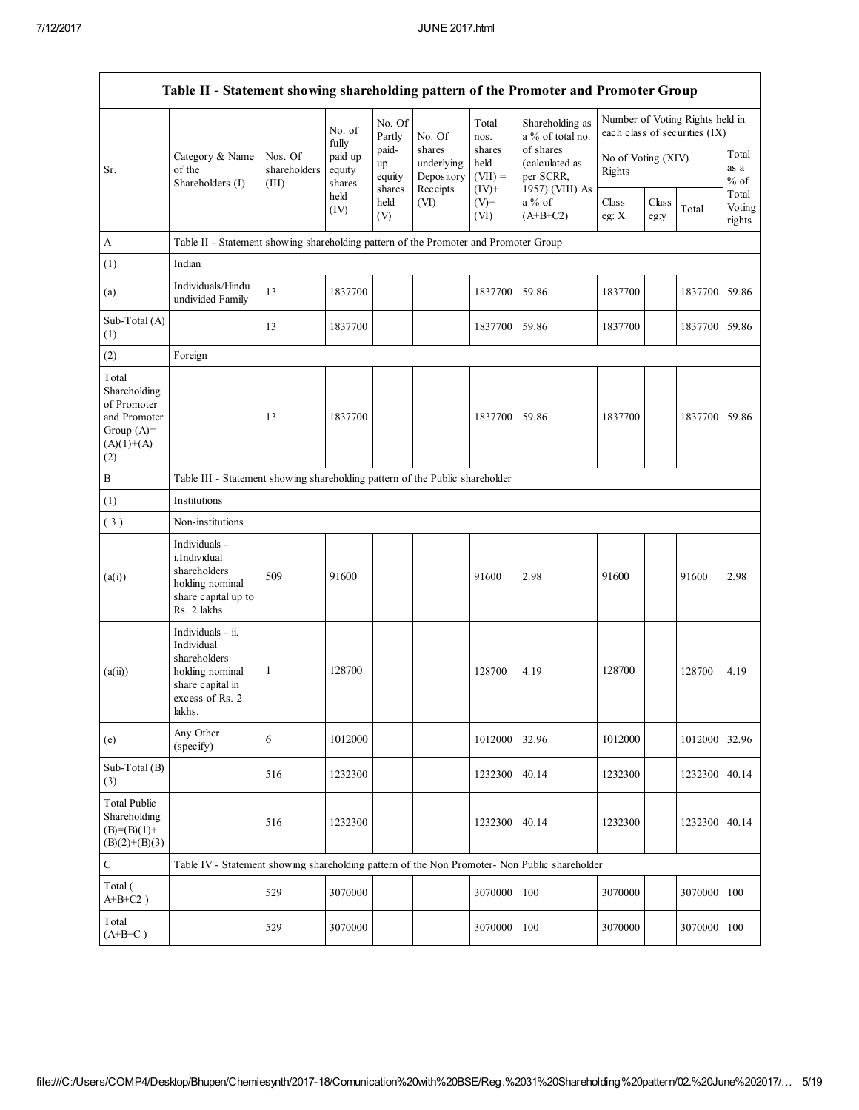|                                                                                             | Table II - Statement showing shareholding pattern of the Promoter and Promoter Group                                |                             |                                 |                                                |                                         |                                                             |                                     |                  |               |                                                                  |                           |
|---------------------------------------------------------------------------------------------|---------------------------------------------------------------------------------------------------------------------|-----------------------------|---------------------------------|------------------------------------------------|-----------------------------------------|-------------------------------------------------------------|-------------------------------------|------------------|---------------|------------------------------------------------------------------|---------------------------|
|                                                                                             |                                                                                                                     |                             | No. of<br>fully                 | No. Of<br>Partly                               | No. Of                                  | Total<br>nos.                                               | Shareholding as<br>a % of total no. |                  |               | Number of Voting Rights held in<br>each class of securities (IX) |                           |
| Category & Name<br>of the<br>Sr.<br>Shareholders (I)                                        | Nos. Of<br>shareholders<br>(III)                                                                                    | paid up<br>equity<br>shares | paid-<br>up<br>equity<br>shares | shares<br>underlying<br>Depository<br>Receipts | shares<br>held<br>$(VII) =$<br>$(IV)^+$ | of shares<br>(calculated as<br>per SCRR.<br>1957) (VIII) As | No of Voting (XIV)<br>Rights        |                  |               | Total<br>as a<br>$%$ of                                          |                           |
|                                                                                             |                                                                                                                     |                             | held<br>(IV)                    | held<br>(V)                                    | (VI)                                    | $(V)+$<br>(VI)                                              | a % of<br>$(A+B+C2)$                | Class<br>eg: $X$ | Class<br>eg:y | Total                                                            | Total<br>Voting<br>rights |
| A                                                                                           | Table II - Statement showing shareholding pattern of the Promoter and Promoter Group                                |                             |                                 |                                                |                                         |                                                             |                                     |                  |               |                                                                  |                           |
| (1)                                                                                         | Indian                                                                                                              |                             |                                 |                                                |                                         |                                                             |                                     |                  |               |                                                                  |                           |
| (a)                                                                                         | Individuals/Hindu<br>undivided Family                                                                               | 13                          | 1837700                         |                                                |                                         | 1837700                                                     | 59.86                               | 1837700          |               | 1837700                                                          | 59.86                     |
| Sub-Total (A)<br>(1)                                                                        |                                                                                                                     | 13                          | 1837700                         |                                                |                                         | 1837700                                                     | 59.86                               | 1837700          |               | 1837700                                                          | 59.86                     |
| (2)                                                                                         | Foreign                                                                                                             |                             |                                 |                                                |                                         |                                                             |                                     |                  |               |                                                                  |                           |
| Total<br>Shareholding<br>of Promoter<br>and Promoter<br>Group $(A)=$<br>$(A)(1)+(A)$<br>(2) |                                                                                                                     | 13                          | 1837700                         |                                                |                                         | 1837700                                                     | 59.86                               | 1837700          |               | 1837700                                                          | 59.86                     |
| $\, {\bf B}$                                                                                | Table III - Statement showing shareholding pattern of the Public shareholder                                        |                             |                                 |                                                |                                         |                                                             |                                     |                  |               |                                                                  |                           |
| (1)                                                                                         | Institutions                                                                                                        |                             |                                 |                                                |                                         |                                                             |                                     |                  |               |                                                                  |                           |
| (3)                                                                                         | Non-institutions                                                                                                    |                             |                                 |                                                |                                         |                                                             |                                     |                  |               |                                                                  |                           |
| (a(i))                                                                                      | Individuals -<br>i.Individual<br>shareholders<br>holding nominal<br>share capital up to<br>Rs. 2 lakhs.             | 509                         | 91600                           |                                                |                                         | 91600                                                       | 2.98                                | 91600            |               | 91600                                                            | 2.98                      |
| (a(ii))                                                                                     | Individuals - ii.<br>Individual<br>shareholders<br>holding nominal<br>share capital in<br>excess of Rs. 2<br>lakhs. | 1                           | 128700                          |                                                |                                         | 128700                                                      | 4.19                                | 128700           |               | 128700                                                           | 4.19                      |
| (e)                                                                                         | Any Other<br>(specify)                                                                                              | $\sqrt{6}$                  | 1012000                         |                                                |                                         | 1012000                                                     | 32.96                               | 1012000          |               | 1012000                                                          | 32.96                     |
| Sub-Total (B)<br>(3)                                                                        |                                                                                                                     | 516                         | 1232300                         |                                                |                                         | 1232300                                                     | 40.14                               | 1232300          |               | 1232300                                                          | 40.14                     |
| <b>Total Public</b><br>Shareholding<br>$(B)= (B)(1) +$<br>$(B)(2)+(B)(3)$                   |                                                                                                                     | 516                         | 1232300                         |                                                |                                         | 1232300                                                     | 40.14                               | 1232300          |               | 1232300                                                          | 40.14                     |
| ${\bf C}$                                                                                   | Table IV - Statement showing shareholding pattern of the Non Promoter- Non Public shareholder                       |                             |                                 |                                                |                                         |                                                             |                                     |                  |               |                                                                  |                           |
| Total (<br>$A+B+C2$ )                                                                       |                                                                                                                     | 529                         | 3070000                         |                                                |                                         | 3070000                                                     | 100                                 | 3070000          |               | 3070000                                                          | 100                       |
| Total<br>$(A+B+C)$                                                                          |                                                                                                                     | 529                         | 3070000                         |                                                |                                         | 3070000                                                     | 100                                 | 3070000          |               | 3070000                                                          | 100                       |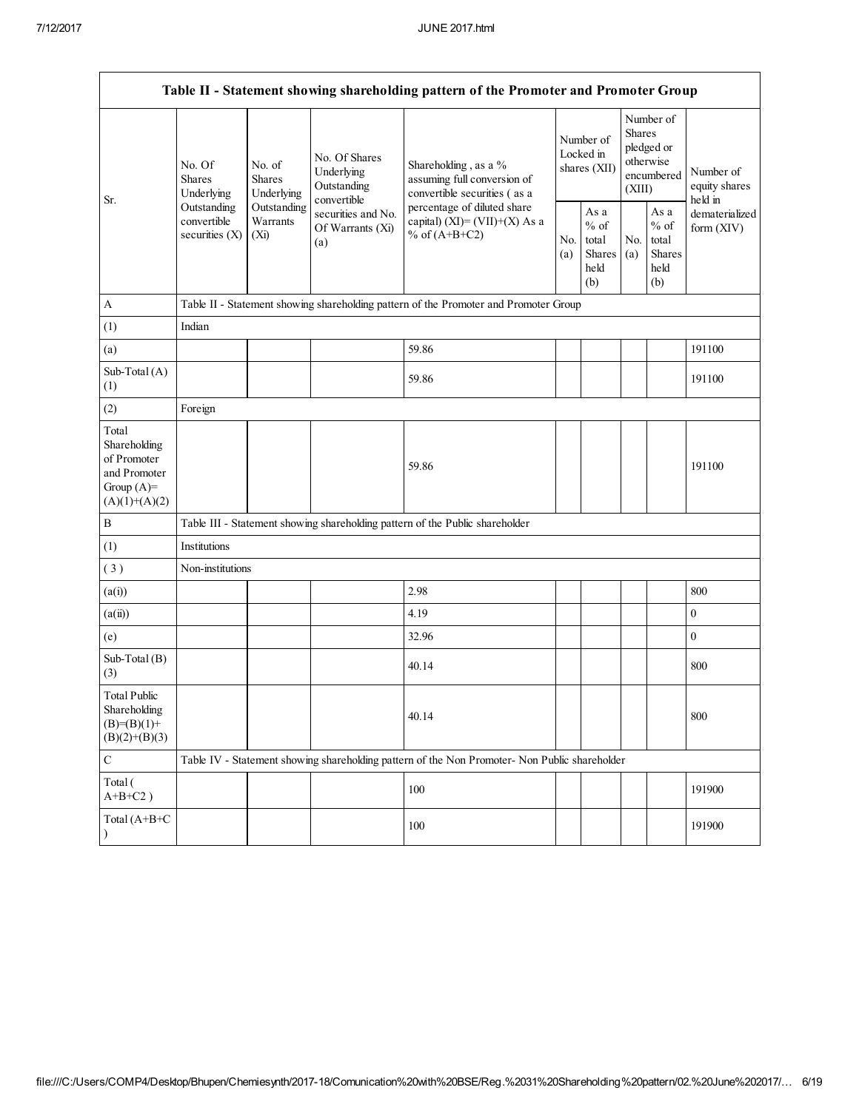| Table II - Statement showing shareholding pattern of the Promoter and Promoter Group    |                                                |                                       |                                                           |                                                                                               |                                        |                                                  |                                                                        |                                                  |                                       |
|-----------------------------------------------------------------------------------------|------------------------------------------------|---------------------------------------|-----------------------------------------------------------|-----------------------------------------------------------------------------------------------|----------------------------------------|--------------------------------------------------|------------------------------------------------------------------------|--------------------------------------------------|---------------------------------------|
|                                                                                         | No. Of<br><b>Shares</b><br>Underlying          | No. of<br><b>Shares</b><br>Underlying | No. Of Shares<br>Underlying<br>Outstanding<br>convertible | Shareholding, as a %<br>assuming full conversion of<br>convertible securities (as a           | Number of<br>Locked in<br>shares (XII) |                                                  | Number of<br>Shares<br>pledged or<br>otherwise<br>encumbered<br>(XIII) |                                                  | Number of<br>equity shares<br>held in |
| Sr.                                                                                     | Outstanding<br>convertible<br>securities $(X)$ | Outstanding<br>Warrants<br>$(X_i)$    | securities and No.<br>Of Warrants (Xi)<br>(a)             | percentage of diluted share<br>capital) (XI)= $(VII)+(X)$ As a<br>% of $(A+B+C2)$             |                                        | As a<br>$%$ of<br>total<br>Shares<br>held<br>(b) | No.<br>(a)                                                             | As a<br>$%$ of<br>total<br>Shares<br>held<br>(b) | dematerialized<br>form $(XIV)$        |
| A                                                                                       |                                                |                                       |                                                           | Table II - Statement showing shareholding pattern of the Promoter and Promoter Group          |                                        |                                                  |                                                                        |                                                  |                                       |
| (1)                                                                                     | Indian                                         |                                       |                                                           |                                                                                               |                                        |                                                  |                                                                        |                                                  |                                       |
| (a)                                                                                     |                                                |                                       |                                                           | 59.86                                                                                         |                                        |                                                  |                                                                        |                                                  | 191100                                |
| Sub-Total (A)<br>(1)                                                                    |                                                |                                       |                                                           | 59.86                                                                                         |                                        |                                                  |                                                                        |                                                  | 191100                                |
| (2)                                                                                     | Foreign                                        |                                       |                                                           |                                                                                               |                                        |                                                  |                                                                        |                                                  |                                       |
| Total<br>Shareholding<br>of Promoter<br>and Promoter<br>Group $(A)=$<br>$(A)(1)+(A)(2)$ |                                                |                                       |                                                           | 59.86                                                                                         |                                        |                                                  |                                                                        |                                                  | 191100                                |
| B                                                                                       |                                                |                                       |                                                           | Table III - Statement showing shareholding pattern of the Public shareholder                  |                                        |                                                  |                                                                        |                                                  |                                       |
| (1)                                                                                     | Institutions                                   |                                       |                                                           |                                                                                               |                                        |                                                  |                                                                        |                                                  |                                       |
| (3)                                                                                     | Non-institutions                               |                                       |                                                           |                                                                                               |                                        |                                                  |                                                                        |                                                  |                                       |
| (a(i))                                                                                  |                                                |                                       |                                                           | 2.98                                                                                          |                                        |                                                  |                                                                        |                                                  | 800                                   |
| (a(ii))                                                                                 |                                                |                                       |                                                           | 4.19                                                                                          |                                        |                                                  |                                                                        |                                                  | $\mathbf{0}$                          |
| (e)                                                                                     |                                                |                                       |                                                           | 32.96                                                                                         |                                        |                                                  |                                                                        |                                                  | $\boldsymbol{0}$                      |
| Sub-Total (B)<br>(3)                                                                    |                                                |                                       |                                                           | 40.14                                                                                         |                                        |                                                  |                                                                        |                                                  | 800                                   |
| <b>Total Public</b><br>Shareholding<br>$(B)= (B)(1) +$<br>$(B)(2)+(B)(3)$               |                                                |                                       |                                                           | 40.14                                                                                         |                                        |                                                  |                                                                        |                                                  | 800                                   |
| $\mathbf C$                                                                             |                                                |                                       |                                                           | Table IV - Statement showing shareholding pattern of the Non Promoter- Non Public shareholder |                                        |                                                  |                                                                        |                                                  |                                       |
| Total (<br>$A+B+C2$ )                                                                   |                                                |                                       |                                                           | 100                                                                                           |                                        |                                                  |                                                                        |                                                  | 191900                                |
| Total (A+B+C                                                                            |                                                |                                       |                                                           | 100                                                                                           |                                        |                                                  |                                                                        |                                                  | 191900                                |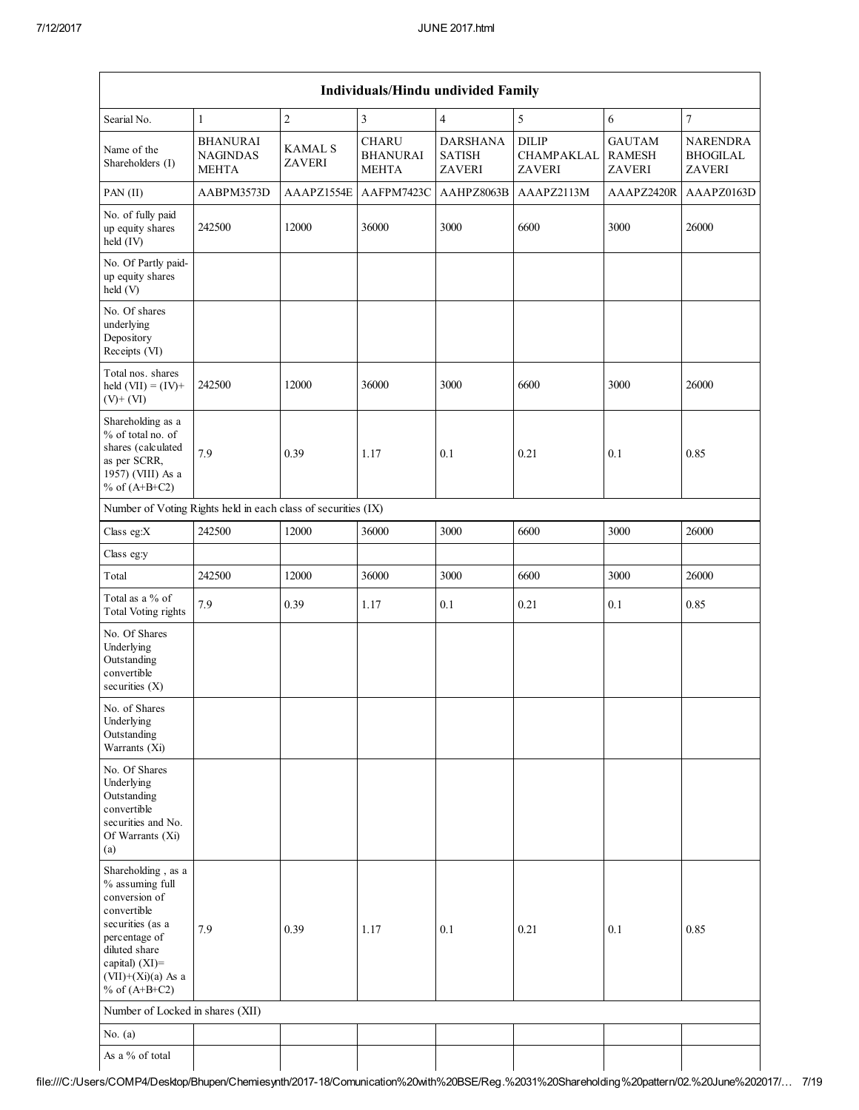|                                                                                                                                                                                             | Individuals/Hindu undivided Family                 |                                 |                                                 |                                                   |                                             |                                                 |                                                     |
|---------------------------------------------------------------------------------------------------------------------------------------------------------------------------------------------|----------------------------------------------------|---------------------------------|-------------------------------------------------|---------------------------------------------------|---------------------------------------------|-------------------------------------------------|-----------------------------------------------------|
| Searial No.                                                                                                                                                                                 | $\mathbf{1}$                                       | $\overline{2}$                  | $\overline{3}$                                  | $\overline{4}$                                    | 5                                           | 6                                               | $\boldsymbol{7}$                                    |
| Name of the<br>Shareholders (I)                                                                                                                                                             | <b>BHANURAI</b><br><b>NAGINDAS</b><br><b>MEHTA</b> | <b>KAMAL S</b><br><b>ZAVERI</b> | <b>CHARU</b><br><b>BHANURAI</b><br><b>MEHTA</b> | <b>DARSHANA</b><br><b>SATISH</b><br><b>ZAVERI</b> | <b>DILIP</b><br>CHAMPAKLAL<br><b>ZAVERI</b> | <b>GAUTAM</b><br><b>RAMESH</b><br><b>ZAVERI</b> | <b>NARENDRA</b><br><b>BHOGILAL</b><br><b>ZAVERI</b> |
| PAN (II)                                                                                                                                                                                    | AABPM3573D                                         | AAAPZ1554E                      | AAFPM7423C                                      | AAHPZ8063B                                        | AAAPZ2113M                                  | AAAPZ2420R                                      | AAAPZ0163D                                          |
| No. of fully paid<br>up equity shares<br>held (IV)                                                                                                                                          | 242500                                             | 12000                           | 36000                                           | 3000                                              | 6600                                        | 3000                                            | 26000                                               |
| No. Of Partly paid-<br>up equity shares<br>held (V)                                                                                                                                         |                                                    |                                 |                                                 |                                                   |                                             |                                                 |                                                     |
| No. Of shares<br>underlying<br>Depository<br>Receipts (VI)                                                                                                                                  |                                                    |                                 |                                                 |                                                   |                                             |                                                 |                                                     |
| Total nos. shares<br>held $(VII) = (IV) +$<br>$(V)+(VI)$                                                                                                                                    | 242500                                             | 12000                           | 36000                                           | 3000                                              | 6600                                        | 3000                                            | 26000                                               |
| Shareholding as a<br>% of total no. of<br>shares (calculated<br>as per SCRR,<br>1957) (VIII) As a<br>% of $(A+B+C2)$                                                                        | 7.9                                                | 0.39                            | 1.17                                            | 0.1                                               | 0.21                                        | 0.1                                             | 0.85                                                |
| Number of Voting Rights held in each class of securities (IX)                                                                                                                               |                                                    |                                 |                                                 |                                                   |                                             |                                                 |                                                     |
| Class eg:X                                                                                                                                                                                  | 242500                                             | 12000                           | 36000                                           | 3000                                              | 6600                                        | 3000                                            | 26000                                               |
| Class eg:y                                                                                                                                                                                  |                                                    |                                 |                                                 |                                                   |                                             |                                                 |                                                     |
| Total                                                                                                                                                                                       | 242500                                             | 12000                           | 36000                                           | 3000                                              | 6600                                        | 3000                                            | 26000                                               |
| Total as a $\%$ of<br><b>Total Voting rights</b>                                                                                                                                            | 7.9                                                | 0.39                            | 1.17                                            | 0.1                                               | 0.21                                        | 0.1                                             | 0.85                                                |
| No. Of Shares<br>Underlying<br>Outstanding<br>convertible<br>securities $(X)$                                                                                                               |                                                    |                                 |                                                 |                                                   |                                             |                                                 |                                                     |
| No. of Shares<br>Underlying<br>Outstanding<br>Warrants (Xi)                                                                                                                                 |                                                    |                                 |                                                 |                                                   |                                             |                                                 |                                                     |
| No. Of Shares<br>Underlying<br>Outstanding<br>convertible<br>securities and No.<br>Of Warrants (Xi)<br>(a)                                                                                  |                                                    |                                 |                                                 |                                                   |                                             |                                                 |                                                     |
| Shareholding, as a<br>% assuming full<br>conversion of<br>convertible<br>securities (as a<br>percentage of<br>diluted share<br>capital) $(XI)$ =<br>$(VII)+(Xi)(a)$ As a<br>% of $(A+B+C2)$ | 7.9                                                | 0.39                            | 1.17                                            | 0.1                                               | 0.21                                        | 0.1                                             | 0.85                                                |
| Number of Locked in shares (XII)                                                                                                                                                            |                                                    |                                 |                                                 |                                                   |                                             |                                                 |                                                     |
| No. $(a)$                                                                                                                                                                                   |                                                    |                                 |                                                 |                                                   |                                             |                                                 |                                                     |
| As a % of total                                                                                                                                                                             |                                                    |                                 |                                                 |                                                   |                                             |                                                 |                                                     |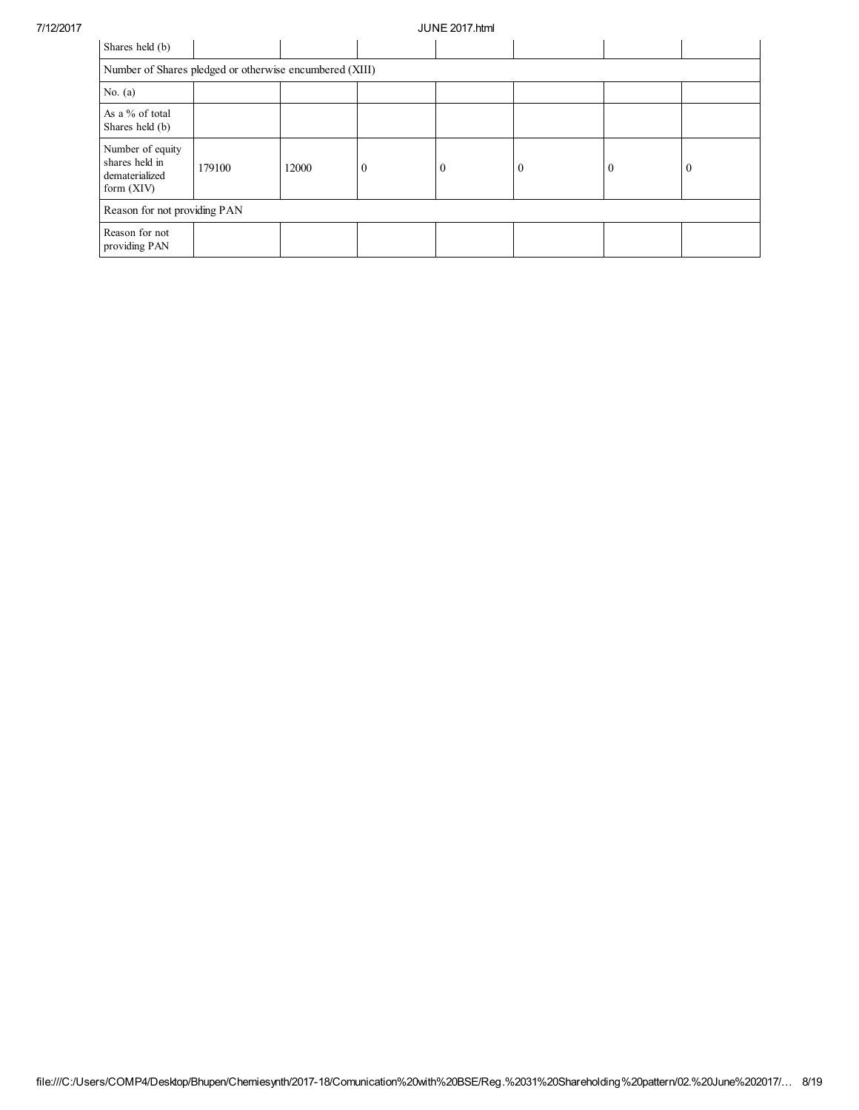| Shares held (b)                                                      |                              |       |                  |          |                |              |          |
|----------------------------------------------------------------------|------------------------------|-------|------------------|----------|----------------|--------------|----------|
| Number of Shares pledged or otherwise encumbered (XIII)              |                              |       |                  |          |                |              |          |
| No. $(a)$                                                            |                              |       |                  |          |                |              |          |
| As a % of total<br>Shares held (b)                                   |                              |       |                  |          |                |              |          |
| Number of equity<br>shares held in<br>dematerialized<br>form $(XIV)$ | 179100                       | 12000 | $\boldsymbol{0}$ | $\theta$ | $\overline{0}$ | $\mathbf{0}$ | $\theta$ |
|                                                                      | Reason for not providing PAN |       |                  |          |                |              |          |
| Reason for not<br>providing PAN                                      |                              |       |                  |          |                |              |          |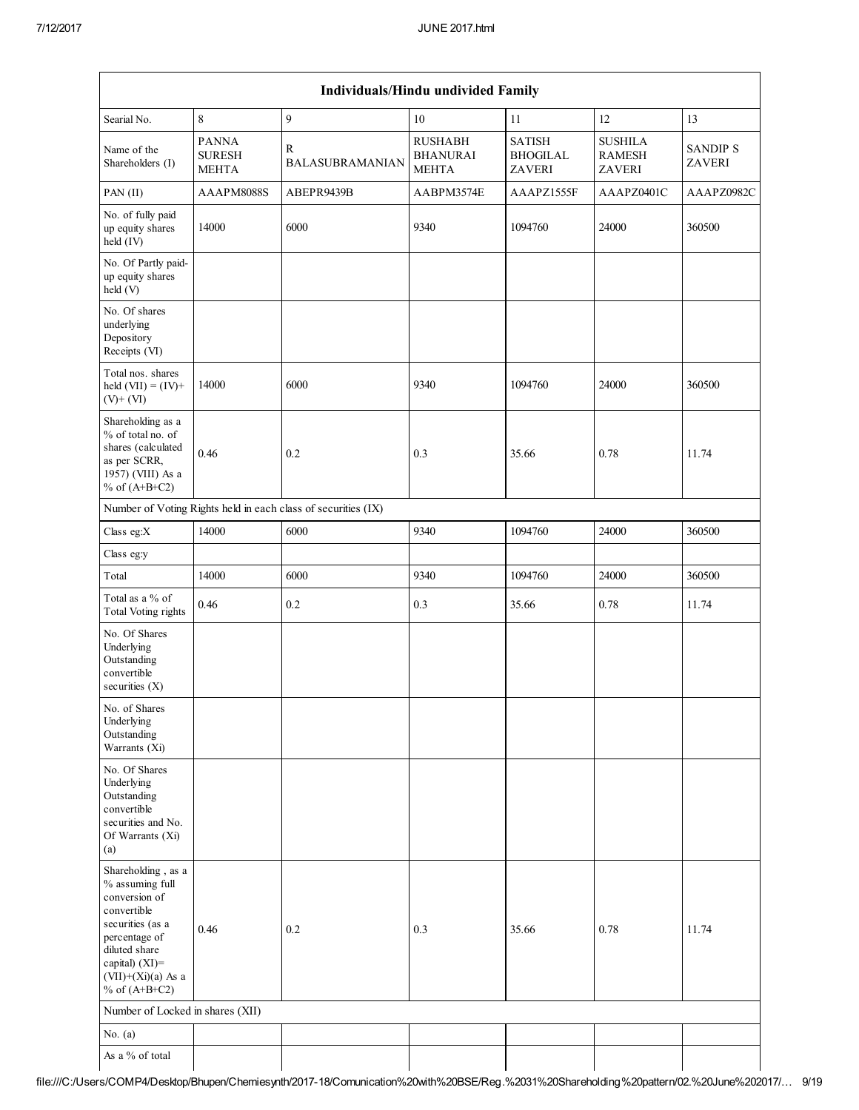|                                                                                                                                                                                             |                                               |                             | Individuals/Hindu undivided Family                |                                                   |                                                  |                                  |  |  |
|---------------------------------------------------------------------------------------------------------------------------------------------------------------------------------------------|-----------------------------------------------|-----------------------------|---------------------------------------------------|---------------------------------------------------|--------------------------------------------------|----------------------------------|--|--|
| Searial No.                                                                                                                                                                                 | $\,$ 8 $\,$                                   | 9                           | 10                                                | 11                                                | 12                                               | 13                               |  |  |
| Name of the<br>Shareholders (I)                                                                                                                                                             | <b>PANNA</b><br><b>SURESH</b><br><b>MEHTA</b> | R<br><b>BALASUBRAMANIAN</b> | <b>RUSHABH</b><br><b>BHANURAI</b><br><b>MEHTA</b> | <b>SATISH</b><br><b>BHOGILAL</b><br><b>ZAVERI</b> | <b>SUSHILA</b><br><b>RAMESH</b><br><b>ZAVERI</b> | <b>SANDIP S</b><br><b>ZAVERI</b> |  |  |
| PAN (II)                                                                                                                                                                                    | AAAPM8088S                                    | ABEPR9439B                  | AABPM3574E                                        | AAAPZ1555F                                        | AAAPZ0401C                                       | AAAPZ0982C                       |  |  |
| No. of fully paid<br>up equity shares<br>held (IV)                                                                                                                                          | 14000                                         | 6000                        | 9340                                              | 1094760                                           | 24000                                            | 360500                           |  |  |
| No. Of Partly paid-<br>up equity shares<br>held (V)                                                                                                                                         |                                               |                             |                                                   |                                                   |                                                  |                                  |  |  |
| No. Of shares<br>underlying<br>Depository<br>Receipts (VI)                                                                                                                                  |                                               |                             |                                                   |                                                   |                                                  |                                  |  |  |
| Total nos. shares<br>held $(VII) = (IV) +$<br>$(V)+(VI)$                                                                                                                                    | 14000                                         | 6000                        | 9340                                              | 1094760                                           | 24000                                            | 360500                           |  |  |
| Shareholding as a<br>% of total no. of<br>shares (calculated<br>as per SCRR,<br>1957) (VIII) As a<br>% of $(A+B+C2)$                                                                        | 0.46                                          | 0.2                         | 0.3                                               | 35.66                                             | 0.78                                             | 11.74                            |  |  |
| Number of Voting Rights held in each class of securities (IX)                                                                                                                               |                                               |                             |                                                   |                                                   |                                                  |                                  |  |  |
| Class eg: $X$                                                                                                                                                                               | 14000                                         | 6000                        | 9340                                              | 1094760                                           | 24000                                            | 360500                           |  |  |
| Class eg:y                                                                                                                                                                                  |                                               |                             |                                                   |                                                   |                                                  |                                  |  |  |
| Total                                                                                                                                                                                       | 14000                                         | 6000                        | 9340                                              | 1094760                                           | 24000                                            | 360500                           |  |  |
| Total as a % of<br><b>Total Voting rights</b>                                                                                                                                               | 0.46                                          | 0.2                         | 0.3                                               | 35.66                                             | 0.78                                             | 11.74                            |  |  |
| No. Of Shares<br>Underlying<br>Outstanding<br>convertible<br>securities $(X)$                                                                                                               |                                               |                             |                                                   |                                                   |                                                  |                                  |  |  |
| No. of Shares<br>Underlying<br>Outstanding<br>Warrants (Xi)                                                                                                                                 |                                               |                             |                                                   |                                                   |                                                  |                                  |  |  |
| No. Of Shares<br>Underlying<br>Outstanding<br>convertible<br>securities and No.<br>Of Warrants (Xi)<br>(a)                                                                                  |                                               |                             |                                                   |                                                   |                                                  |                                  |  |  |
| Shareholding, as a<br>% assuming full<br>conversion of<br>convertible<br>securities (as a<br>percentage of<br>diluted share<br>capital) $(XI)$ =<br>$(VII)+(Xi)(a)$ As a<br>% of $(A+B+C2)$ | 0.46                                          | 0.2                         | 0.3                                               | 35.66                                             | 0.78                                             | 11.74                            |  |  |
| Number of Locked in shares (XII)                                                                                                                                                            |                                               |                             |                                                   |                                                   |                                                  |                                  |  |  |
| No. $(a)$                                                                                                                                                                                   |                                               |                             |                                                   |                                                   |                                                  |                                  |  |  |
| As a % of total                                                                                                                                                                             |                                               |                             |                                                   |                                                   |                                                  |                                  |  |  |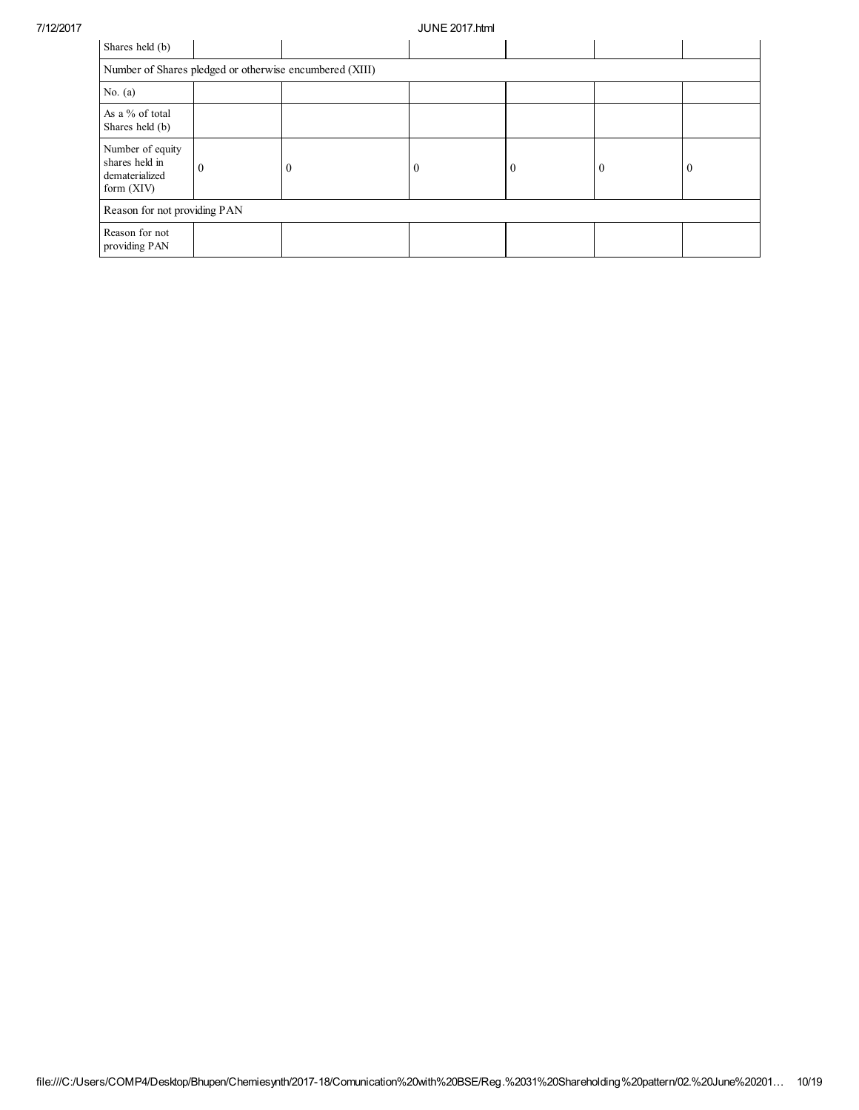| Shares held (b)                                                      |                                                         |   |          |          |              |          |  |  |
|----------------------------------------------------------------------|---------------------------------------------------------|---|----------|----------|--------------|----------|--|--|
|                                                                      | Number of Shares pledged or otherwise encumbered (XIII) |   |          |          |              |          |  |  |
| No. $(a)$                                                            |                                                         |   |          |          |              |          |  |  |
| As a % of total<br>Shares held (b)                                   |                                                         |   |          |          |              |          |  |  |
| Number of equity<br>shares held in<br>dematerialized<br>form $(XIV)$ | $\Omega$                                                | 0 | $\Omega$ | $\theta$ | $\mathbf{0}$ | $\bf{0}$ |  |  |
| Reason for not providing PAN                                         |                                                         |   |          |          |              |          |  |  |
| Reason for not<br>providing PAN                                      |                                                         |   |          |          |              |          |  |  |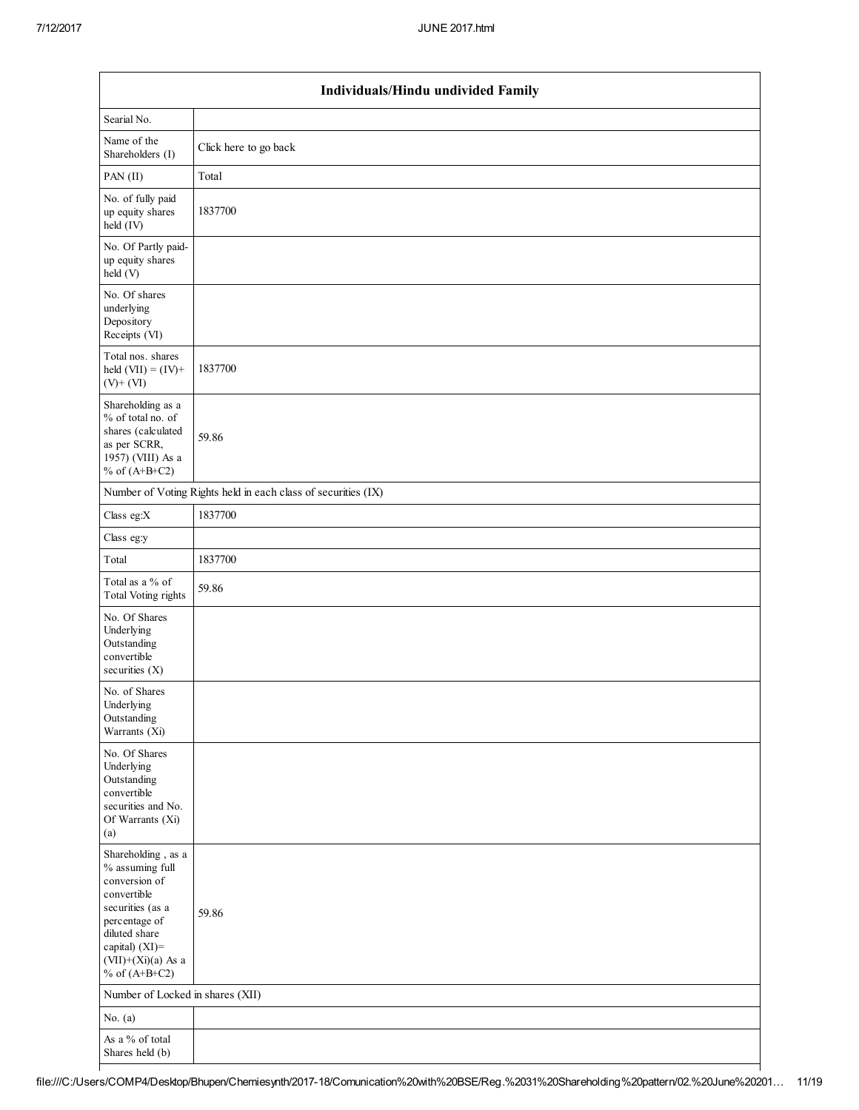|                                                                                                                                                                                          | Individuals/Hindu undivided Family                            |  |  |  |  |  |  |
|------------------------------------------------------------------------------------------------------------------------------------------------------------------------------------------|---------------------------------------------------------------|--|--|--|--|--|--|
| Searial No.                                                                                                                                                                              |                                                               |  |  |  |  |  |  |
| Name of the<br>Shareholders (I)                                                                                                                                                          | Click here to go back                                         |  |  |  |  |  |  |
| PAN(II)                                                                                                                                                                                  | Total                                                         |  |  |  |  |  |  |
| No. of fully paid<br>up equity shares<br>$held$ (IV)                                                                                                                                     | 1837700                                                       |  |  |  |  |  |  |
| No. Of Partly paid-<br>up equity shares<br>held (V)                                                                                                                                      |                                                               |  |  |  |  |  |  |
| No. Of shares<br>underlying<br>Depository<br>Receipts (VI)                                                                                                                               |                                                               |  |  |  |  |  |  |
| Total nos. shares<br>held $(VII) = (IV) +$<br>$(V)+(VI)$                                                                                                                                 | 1837700                                                       |  |  |  |  |  |  |
| Shareholding as a<br>% of total no. of<br>shares (calculated<br>as per SCRR,<br>1957) (VIII) As a<br>% of $(A+B+C2)$                                                                     | 59.86                                                         |  |  |  |  |  |  |
|                                                                                                                                                                                          | Number of Voting Rights held in each class of securities (IX) |  |  |  |  |  |  |
| Class eg: $X$                                                                                                                                                                            | 1837700                                                       |  |  |  |  |  |  |
| Class eg:y                                                                                                                                                                               |                                                               |  |  |  |  |  |  |
| Total                                                                                                                                                                                    | 1837700                                                       |  |  |  |  |  |  |
| Total as a % of<br>Total Voting rights                                                                                                                                                   | 59.86                                                         |  |  |  |  |  |  |
| No. Of Shares<br>Underlying<br>Outstanding<br>convertible<br>securities $(X)$                                                                                                            |                                                               |  |  |  |  |  |  |
| No. of Shares<br>Underlying<br>Outstanding<br>Warrants (Xi)                                                                                                                              |                                                               |  |  |  |  |  |  |
| No. Of Shares<br>Underlying<br>Outstanding<br>convertible<br>securities and No.<br>Of Warrants (Xi)<br>(a)                                                                               |                                                               |  |  |  |  |  |  |
| Shareholding, as a<br>% assuming full<br>conversion of<br>convertible<br>securities (as a<br>percentage of<br>diluted share<br>capital) (XI)=<br>$(VII)+(Xi)(a)$ As a<br>% of $(A+B+C2)$ | 59.86                                                         |  |  |  |  |  |  |
| Number of Locked in shares (XII)                                                                                                                                                         |                                                               |  |  |  |  |  |  |
| No. $(a)$                                                                                                                                                                                |                                                               |  |  |  |  |  |  |
| As a % of total<br>Shares held (b)                                                                                                                                                       |                                                               |  |  |  |  |  |  |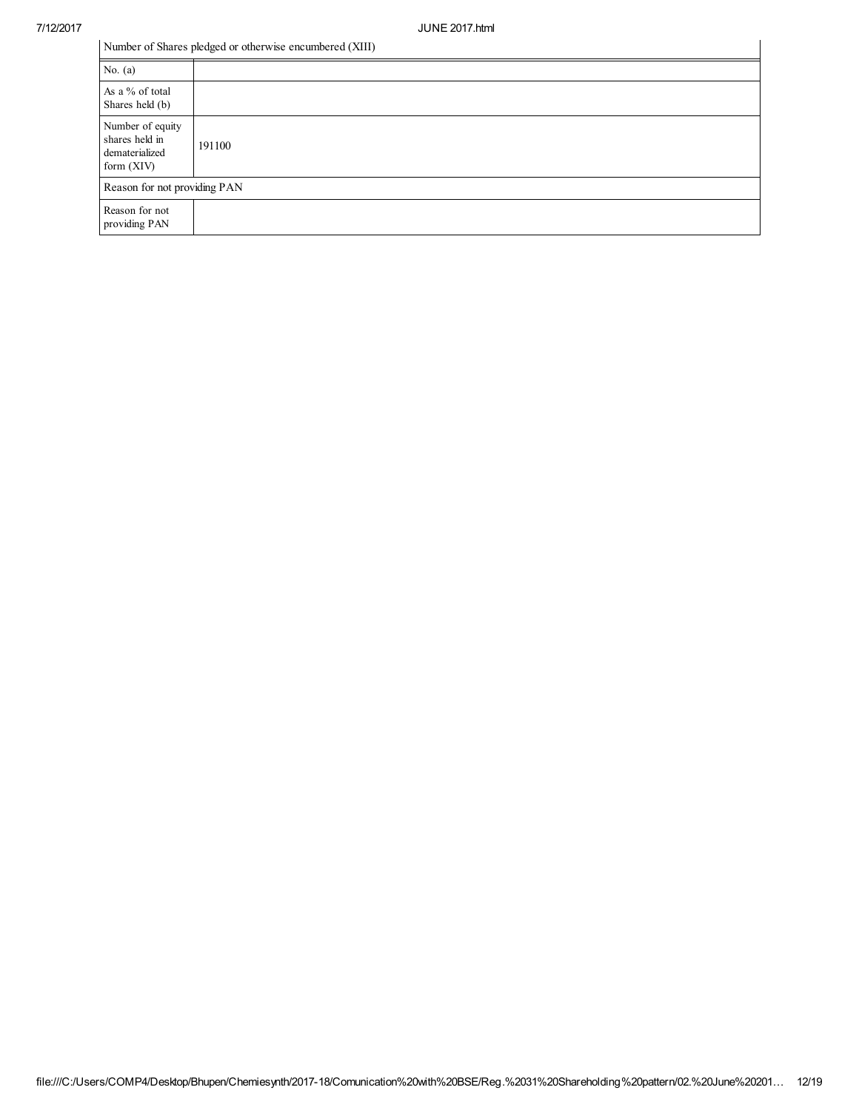| Number of Shares pledged or otherwise encumbered (XIII)              |        |  |
|----------------------------------------------------------------------|--------|--|
| No. $(a)$                                                            |        |  |
| As a % of total<br>Shares held (b)                                   |        |  |
| Number of equity<br>shares held in<br>dematerialized<br>form $(XIV)$ | 191100 |  |
| Reason for not providing PAN                                         |        |  |
| Reason for not<br>providing PAN                                      |        |  |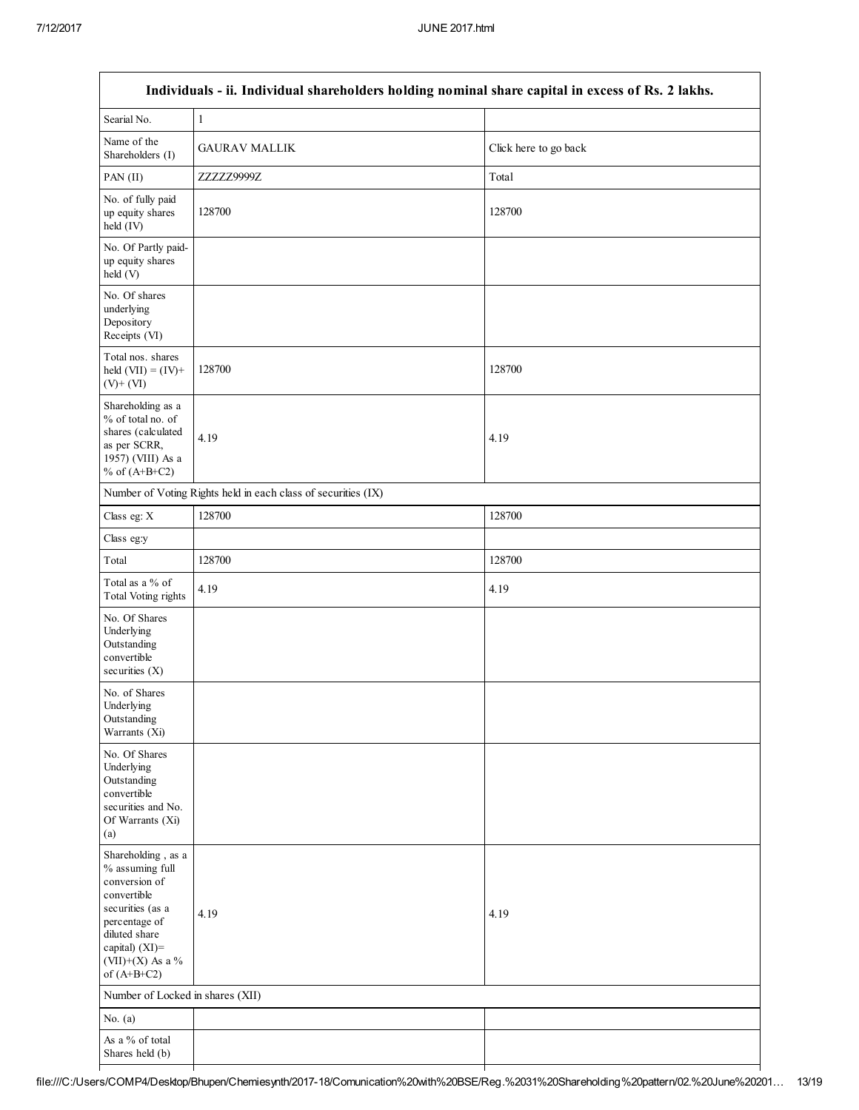$\Gamma$ 

| Individuals - ii. Individual shareholders holding nominal share capital in excess of Rs. 2 lakhs.                                                                                  |                                                               |                       |  |  |
|------------------------------------------------------------------------------------------------------------------------------------------------------------------------------------|---------------------------------------------------------------|-----------------------|--|--|
| Searial No.                                                                                                                                                                        | $\mathbf{1}$                                                  |                       |  |  |
| Name of the<br>Shareholders (I)                                                                                                                                                    | <b>GAURAV MALLIK</b>                                          | Click here to go back |  |  |
| PAN (II)                                                                                                                                                                           | ZZZZZ9999Z                                                    | Total                 |  |  |
| No. of fully paid<br>up equity shares<br>held (IV)                                                                                                                                 | 128700                                                        | 128700                |  |  |
| No. Of Partly paid-<br>up equity shares<br>held (V)                                                                                                                                |                                                               |                       |  |  |
| No. Of shares<br>underlying<br>Depository<br>Receipts (VI)                                                                                                                         |                                                               |                       |  |  |
| Total nos. shares<br>held $(VII) = (IV) +$<br>$(V)+(VI)$                                                                                                                           | 128700                                                        | 128700                |  |  |
| Shareholding as a<br>% of total no. of<br>shares (calculated<br>as per SCRR,<br>1957) (VIII) As a<br>% of $(A+B+C2)$                                                               | 4.19                                                          | 4.19                  |  |  |
|                                                                                                                                                                                    | Number of Voting Rights held in each class of securities (IX) |                       |  |  |
| Class eg: X                                                                                                                                                                        | 128700                                                        | 128700                |  |  |
| Class eg:y                                                                                                                                                                         |                                                               |                       |  |  |
| Total                                                                                                                                                                              | 128700                                                        | 128700                |  |  |
| Total as a % of<br>Total Voting rights                                                                                                                                             | 4.19                                                          | 4.19                  |  |  |
| No. Of Shares<br>Underlying<br>Outstanding<br>convertible<br>securities $(X)$                                                                                                      |                                                               |                       |  |  |
| No. of Shares<br>Underlying<br>Outstanding<br>Warrants (Xi)                                                                                                                        |                                                               |                       |  |  |
| No. Of Shares<br>Underlying<br>Outstanding<br>convertible<br>securities and No.<br>Of Warrants (Xi)<br>(a)                                                                         |                                                               |                       |  |  |
| Shareholding, as a<br>% assuming full<br>conversion of<br>convertible<br>securities (as a<br>percentage of<br>diluted share<br>capital) (XI)=<br>(VII)+(X) As a %<br>of $(A+B+C2)$ | 4.19                                                          | 4.19                  |  |  |
| Number of Locked in shares (XII)                                                                                                                                                   |                                                               |                       |  |  |
| No. $(a)$                                                                                                                                                                          |                                                               |                       |  |  |
| As a % of total<br>Shares held (b)                                                                                                                                                 |                                                               |                       |  |  |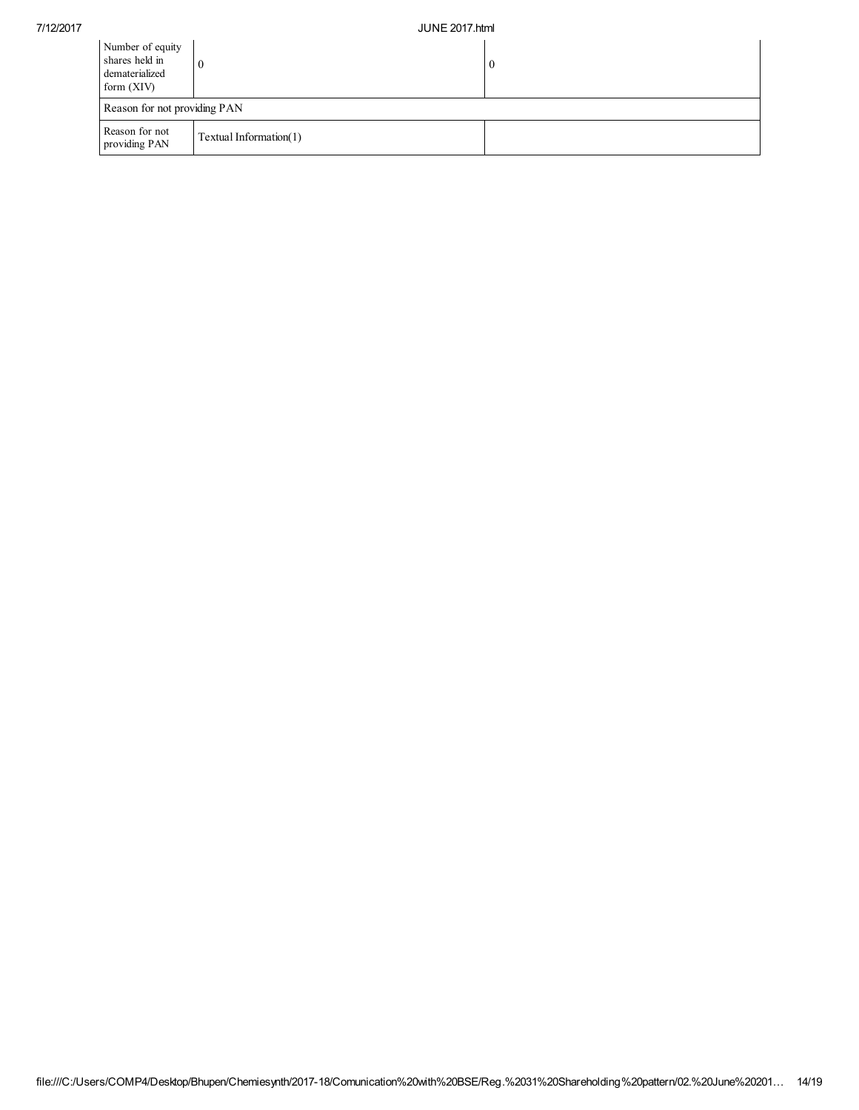| Number of equity<br>shares held in<br>dematerialized<br>form $(XIV)$ |                        | $\theta$ |  |  |
|----------------------------------------------------------------------|------------------------|----------|--|--|
| Reason for not providing PAN                                         |                        |          |  |  |
| Reason for not<br>providing PAN                                      | Textual Information(1) |          |  |  |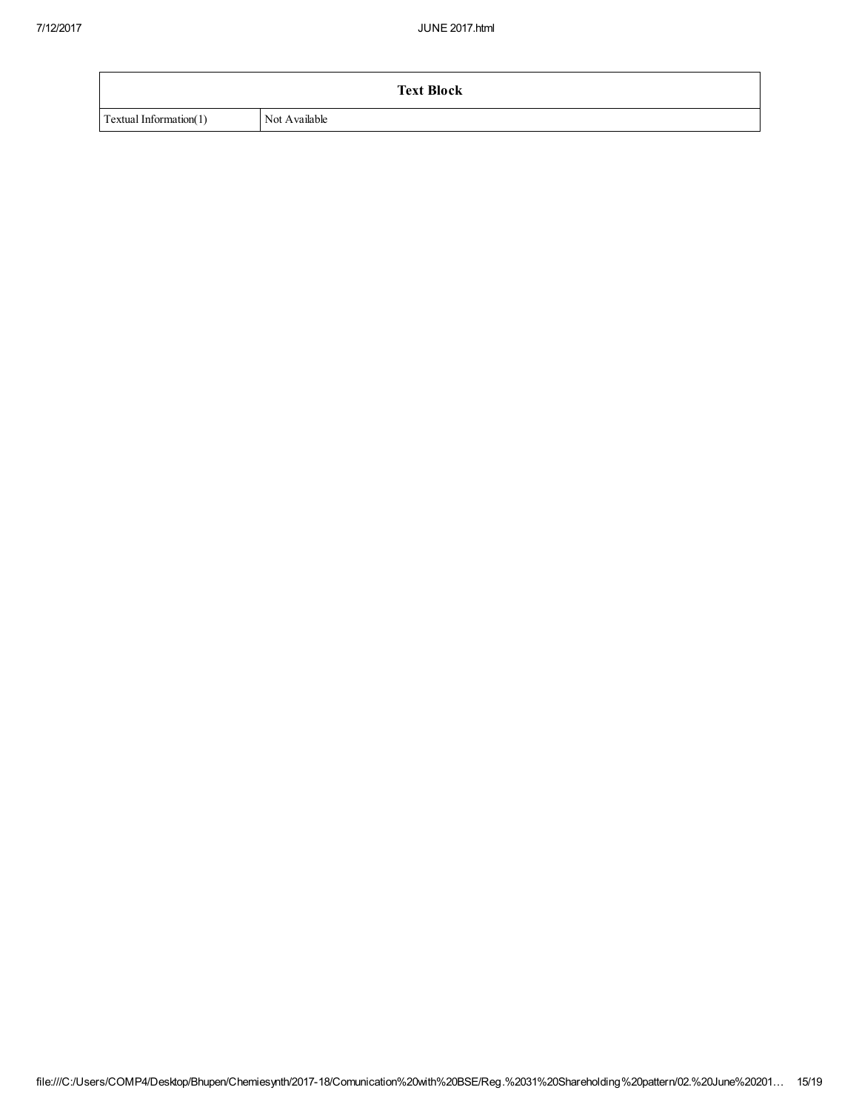|                        | <b>Text Block</b> |
|------------------------|-------------------|
| Textual Information(1) | Not Available     |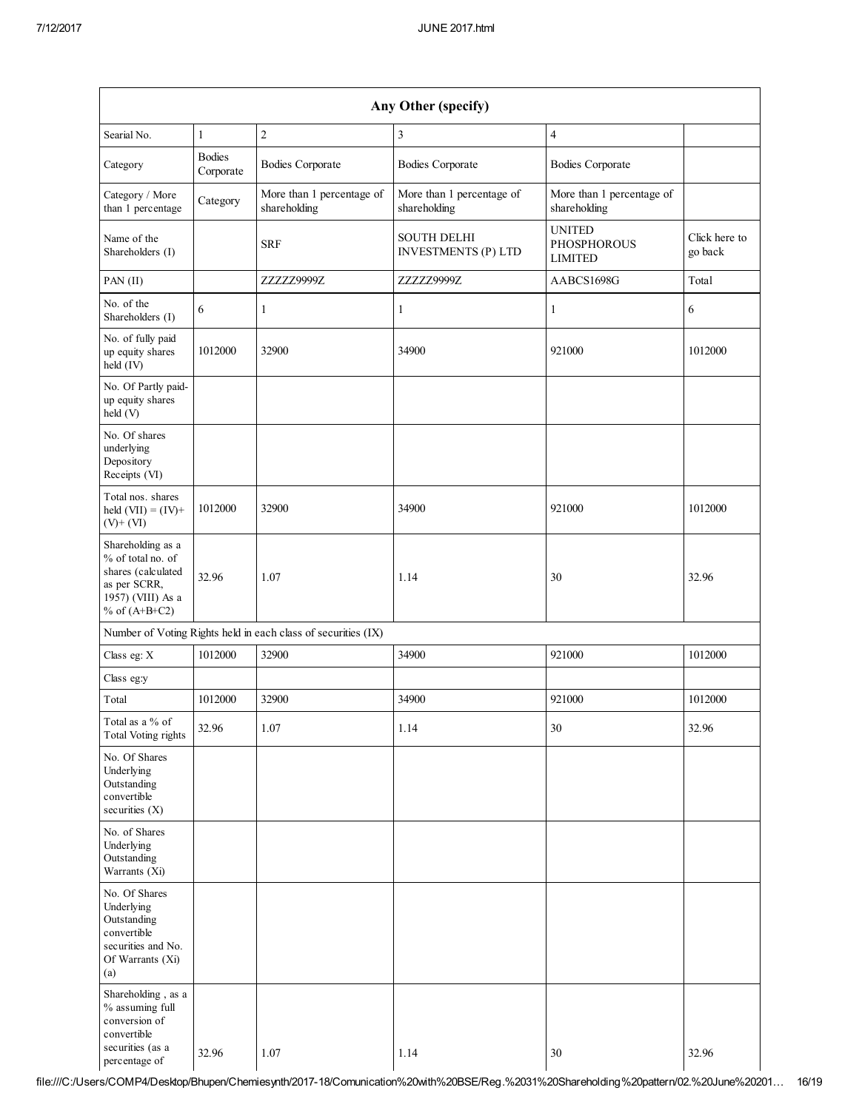| Any Other (specify)                                                                                                  |                            |                                                               |                                                  |                                                       |                          |
|----------------------------------------------------------------------------------------------------------------------|----------------------------|---------------------------------------------------------------|--------------------------------------------------|-------------------------------------------------------|--------------------------|
| Searial No.                                                                                                          | $\mathbf{1}$               | $\overline{2}$                                                | 3                                                | $\overline{4}$                                        |                          |
| Category                                                                                                             | <b>Bodies</b><br>Corporate | <b>Bodies Corporate</b>                                       | <b>Bodies Corporate</b>                          | <b>Bodies Corporate</b>                               |                          |
| Category / More<br>than 1 percentage                                                                                 | Category                   | More than 1 percentage of<br>shareholding                     | More than 1 percentage of<br>shareholding        | More than 1 percentage of<br>shareholding             |                          |
| Name of the<br>Shareholders (I)                                                                                      |                            | <b>SRF</b>                                                    | <b>SOUTH DELHI</b><br><b>INVESTMENTS (P) LTD</b> | <b>UNITED</b><br><b>PHOSPHOROUS</b><br><b>LIMITED</b> | Click here to<br>go back |
| PAN (II)                                                                                                             |                            | ZZZZZ9999Z                                                    | ZZZZZ9999Z                                       | AABCS1698G                                            | Total                    |
| No. of the<br>Shareholders (I)                                                                                       | 6                          | $\mathbf{1}$                                                  | $\mathbf{1}$                                     | 1                                                     | 6                        |
| No. of fully paid<br>up equity shares<br>held (IV)                                                                   | 1012000                    | 32900                                                         | 34900                                            | 921000                                                | 1012000                  |
| No. Of Partly paid-<br>up equity shares<br>held (V)                                                                  |                            |                                                               |                                                  |                                                       |                          |
| No. Of shares<br>underlying<br>Depository<br>Receipts (VI)                                                           |                            |                                                               |                                                  |                                                       |                          |
| Total nos. shares<br>held $(VII) = (IV) +$<br>$(V)+(VI)$                                                             | 1012000                    | 32900                                                         | 34900                                            | 921000                                                | 1012000                  |
| Shareholding as a<br>% of total no. of<br>shares (calculated<br>as per SCRR,<br>1957) (VIII) As a<br>% of $(A+B+C2)$ | 32.96                      | 1.07                                                          | 1.14                                             | 30                                                    | 32.96                    |
|                                                                                                                      |                            | Number of Voting Rights held in each class of securities (IX) |                                                  |                                                       |                          |
| Class eg: X                                                                                                          | 1012000                    | 32900                                                         | 34900                                            | 921000                                                | 1012000                  |
| Class eg:y                                                                                                           |                            |                                                               |                                                  |                                                       |                          |
| Total                                                                                                                | 1012000                    | 32900                                                         | 34900                                            | 921000                                                | 1012000                  |
| Total as a % of<br><b>Total Voting rights</b>                                                                        | 32.96                      | 1.07                                                          | 1.14                                             | 30                                                    | 32.96                    |
| No. Of Shares<br>Underlying<br>Outstanding<br>convertible<br>securities $(X)$                                        |                            |                                                               |                                                  |                                                       |                          |
| No. of Shares<br>Underlying<br>Outstanding<br>Warrants (Xi)                                                          |                            |                                                               |                                                  |                                                       |                          |
| No. Of Shares<br>Underlying<br>Outstanding<br>convertible<br>securities and No.<br>Of Warrants (Xi)<br>(a)           |                            |                                                               |                                                  |                                                       |                          |
| Shareholding, as a<br>% assuming full<br>conversion of<br>convertible<br>securities (as a<br>percentage of           | 32.96                      | 1.07                                                          | 1.14                                             | 30                                                    | 32.96                    |

 $+198.296$ file:///C:/Users/COMP4/Desktop/Bhupen/Chemiesynth/2017-18/Comunication%20with%20BSE/Reg.%2031%20Shareholding%20pattern/02.%20June%20201… 16/19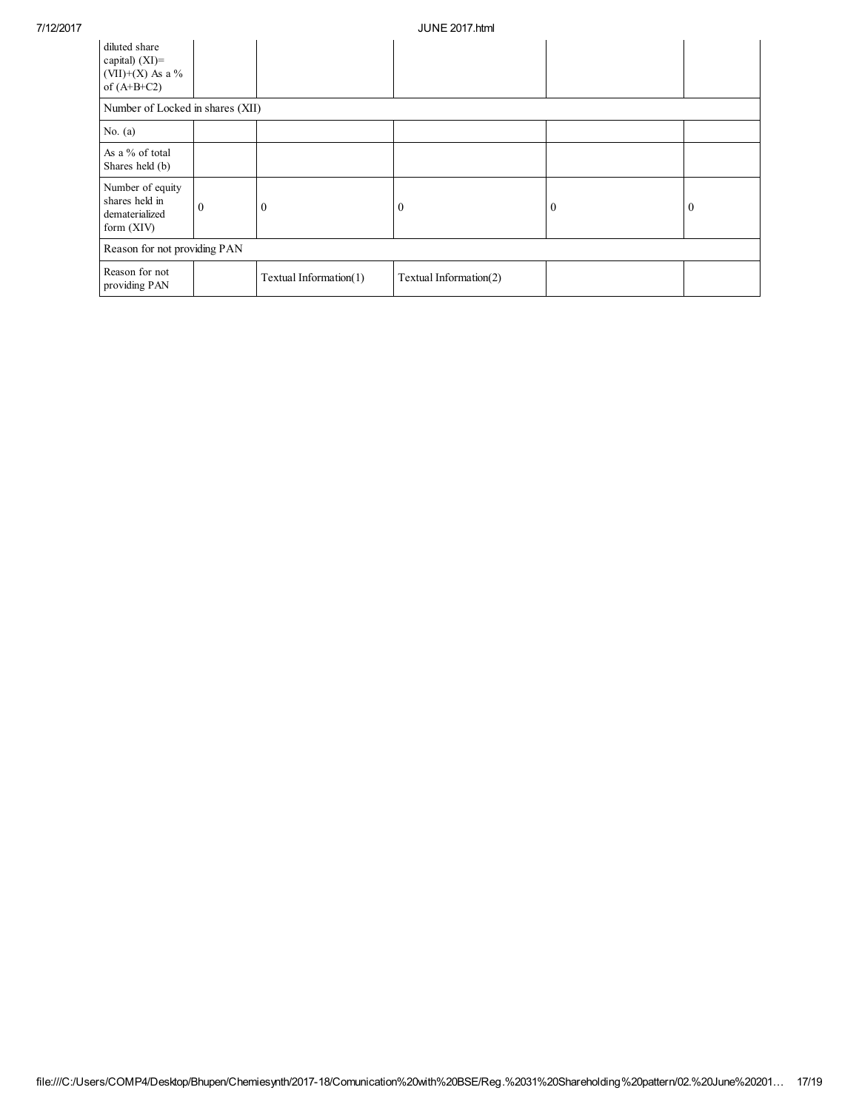| diluted share<br>capital) $(XI)$ =<br>(VII)+(X) As a $\%$<br>of $(A+B+C2)$ |                                  |                        |                        |              |                |
|----------------------------------------------------------------------------|----------------------------------|------------------------|------------------------|--------------|----------------|
|                                                                            | Number of Locked in shares (XII) |                        |                        |              |                |
| No. $(a)$                                                                  |                                  |                        |                        |              |                |
| As a % of total<br>Shares held (b)                                         |                                  |                        |                        |              |                |
| Number of equity<br>shares held in<br>dematerialized<br>form $(XIV)$       | $\theta$                         | $\theta$               | $\theta$               | $\mathbf{0}$ | $\overline{0}$ |
| Reason for not providing PAN                                               |                                  |                        |                        |              |                |
| Reason for not<br>providing PAN                                            |                                  | Textual Information(1) | Textual Information(2) |              |                |